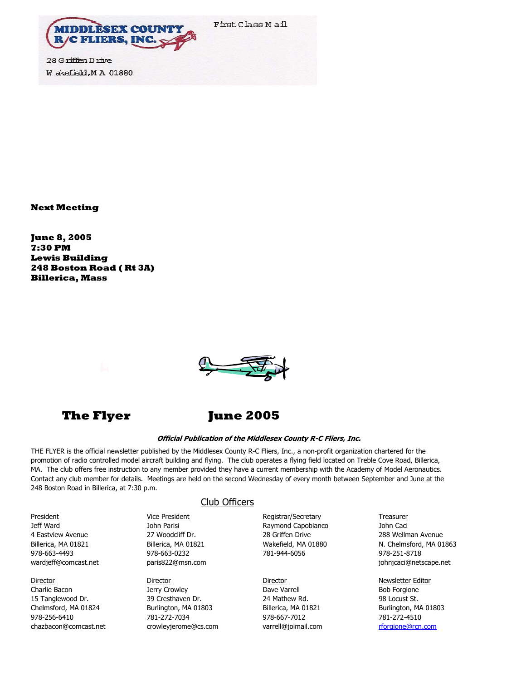

28 G riffen D rive W akefield, M A 01880

**Next Meeting** 

**June 8, 2005 7:30 PM Lewis Building 248 Boston Road ( Rt 3A) Billerica, Mass**





## **The Flyer June 2005**

#### **Official Publication of the Middlesex County R-C Fliers, Inc.**

THE FLYER is the official newsletter published by the Middlesex County R-C Fliers, Inc., a non-profit organization chartered for the promotion of radio controlled model aircraft building and flying. The club operates a flying field located on Treble Cove Road, Billerica, MA. The club offers free instruction to any member provided they have a current membership with the Academy of Model Aeronautics. Contact any club member for details. Meetings are held on the second Wednesday of every month between September and June at the 248 Boston Road in Billerica, at 7:30 p.m.

4 Eastview Avenue 27 Woodcliff Dr. 28 Griffen Drive 288 Wellman Avenue 978-663-4493 978-663-0232 781-944-6056 978-251-8718 wardjeff@comcast.net **paris822@msn.com iskup arity and paris822** paris822@msn.com is a paris822 paris822 paris822

15 Tanglewood Dr. 39 Cresthaven Dr. 24 Mathew Rd. 98 Locust St. Chelmsford, MA 01824 Burlington, MA 01803 Billerica, MA 01821 Burlington, MA 01803 978-256-6410 781-272-7034 978-667-7012 781-272-4510 chazbacon@comcast.net crowleyjerome@cs.com varrell@joimail.com [rforgione@rcn.com](mailto:rforgione@rcn.com)

### Club Officers

**Director Director Director Director Director Director Director Newsletter Editor** Charlie Bacon **Dave Varrell Bacon** Bob Forgione Dave Varrell Bacon Bob Forgione

President Treasurer Vice President Contract Registrar/Secretary Treasurer Jeff Ward **Markov Marisi Raymond Capobianco** John Caci John Caci

Billerica, MA 01821 Billerica, MA 01821 Wakefield, MA 01880 N. Chelmsford, MA 01863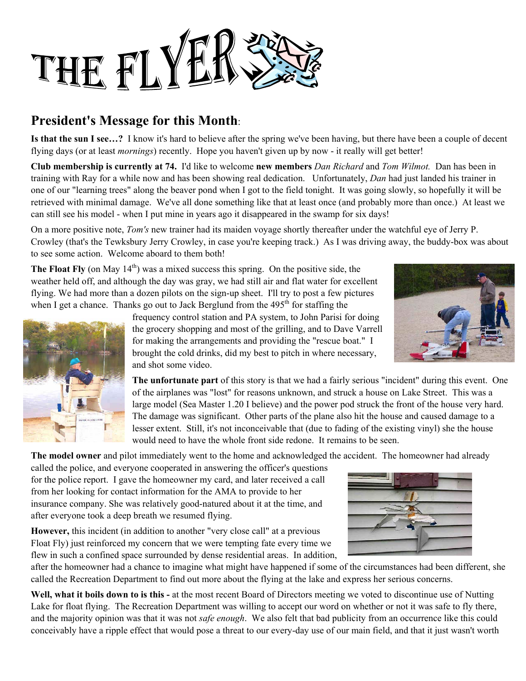

# **President's Message for this Month**:

**Is that the sun I see…?** I know it's hard to believe after the spring we've been having, but there have been a couple of decent flying days (or at least *mornings*) recently. Hope you haven't given up by now - it really will get better!

**Club membership is currently at 74.** I'd like to welcome **new members** *Dan Richard* and *Tom Wilmot.* Dan has been in training with Ray for a while now and has been showing real dedication. Unfortunately, *Dan* had just landed his trainer in one of our "learning trees" along the beaver pond when I got to the field tonight. It was going slowly, so hopefully it will be retrieved with minimal damage. We've all done something like that at least once (and probably more than once.) At least we can still see his model - when I put mine in years ago it disappeared in the swamp for six days!

On a more positive note, *Tom's* new trainer had its maiden voyage shortly thereafter under the watchful eye of Jerry P. Crowley (that's the Tewksbury Jerry Crowley, in case you're keeping track.) As I was driving away, the buddy-box was about to see some action. Welcome aboard to them both!

**The Float Fly** (on May  $14<sup>th</sup>$ ) was a mixed success this spring. On the positive side, the weather held off, and although the day was gray, we had still air and flat water for excellent flying. We had more than a dozen pilots on the sign-up sheet. I'll try to post a few pictures when I get a chance. Thanks go out to Jack Berglund from the 495<sup>th</sup> for staffing the



frequency control station and PA system, to John Parisi for doing the grocery shopping and most of the grilling, and to Dave Varrell for making the arrangements and providing the "rescue boat." I brought the cold drinks, did my best to pitch in where necessary, and shot some video.

**The unfortunate part** of this story is that we had a fairly serious "incident" during this event. One of the airplanes was "lost" for reasons unknown, and struck a house on Lake Street. This was a large model (Sea Master 1.20 I believe) and the power pod struck the front of the house very hard. The damage was significant. Other parts of the plane also hit the house and caused damage to a lesser extent. Still, it's not inconceivable that (due to fading of the existing vinyl) she the house would need to have the whole front side redone. It remains to be seen.

**The model owner** and pilot immediately went to the home and acknowledged the accident. The homeowner had already

called the police, and everyone cooperated in answering the officer's questions for the police report. I gave the homeowner my card, and later received a call from her looking for contact information for the AMA to provide to her insurance company. She was relatively good-natured about it at the time, and after everyone took a deep breath we resumed flying.

**However,** this incident (in addition to another "very close call" at a previous Float Fly) just reinforced my concern that we were tempting fate every time we flew in such a confined space surrounded by dense residential areas. In addition,

after the homeowner had a chance to imagine what might have happened if some of the circumstances had been different, she called the Recreation Department to find out more about the flying at the lake and express her serious concerns.

**Well, what it boils down to is this -** at the most recent Board of Directors meeting we voted to discontinue use of Nutting Lake for float flying. The Recreation Department was willing to accept our word on whether or not it was safe to fly there, and the majority opinion was that it was not *safe enough*. We also felt that bad publicity from an occurrence like this could conceivably have a ripple effect that would pose a threat to our every-day use of our main field, and that it just wasn't worth



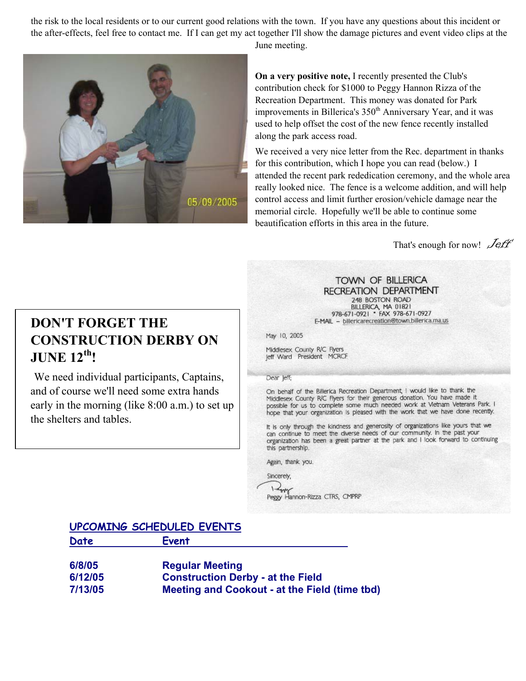the risk to the local residents or to our current good relations with the town. If you have any questions about this incident or the after-effects, feel free to contact me. If I can get my act together I'll show the damage pictures and event video clips at the



June meeting.

**On a very positive note,** I recently presented the Club's contribution check for \$1000 to Peggy Hannon Rizza of the Recreation Department. This money was donated for Park improvements in Billerica's 350<sup>th</sup> Anniversary Year, and it was used to help offset the cost of the new fence recently installed along the park access road.

We received a very nice letter from the Rec. department in thanks for this contribution, which I hope you can read (below.) I attended the recent park rededication ceremony, and the whole a rea really looked nice. The fence is a welcome addition, and will help control access and limit further erosion/vehicle damage near the memorial circle. Hopefully we'll be able to continue some beautification efforts in this area in the future.

That's enough for now!  $\mathcal{J}$ eff'

# **DON'T FORGET THE CONSTRUCTION DERBY ON JUNE 12th!**

We need individual participants, Captains, and of course we'll need some extra hands early in the morning (like 8:00 a.m.) to set up the shelters and tables.

### TOWN OF BILLERICA **RECREATION DEPARTMENT** 248 BOSTON ROAD

BILLERICA, MA 01821<br>978-671-0921 • FAX 978-671-0927 E-MAIL - billericarecreation@town.billerica.ma.us

May 10, 2005

Middlesex County R/C Flyers leff Ward President MCRCF

Dear leff:

On behalf of the Billerica Recreation Department, I would like to thank the Middlesex County R/C Flyers for their generous donation. You have made it possible for us to complete some much needed work at Vietnam Veterans Park. I hope that your organization is pleased with the work that we have done recently.

It is only through the kindness and generosity of organizations like yours that we can continue to meet the diverse needs of our community. In the past your organization has been a great partner at the park and I look forward to continuing this partnership.

Again, thank you.

Sincerely,  $1 - \frac{1}{2}$ Peggy Hannon-Rizza CTRS, CMPRP

## **UPCOMING SCHEDULED EVENTS**

| Date    | Event                                         |
|---------|-----------------------------------------------|
| 6/8/05  | <b>Regular Meeting</b>                        |
| 6/12/05 | <b>Construction Derby - at the Field</b>      |
| 7/13/05 | Meeting and Cookout - at the Field (time tbd) |